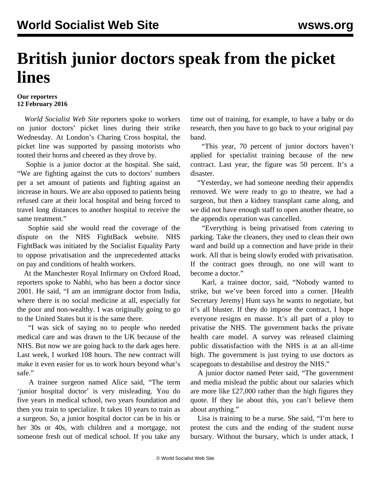## **British junior doctors speak from the picket lines**

## **Our reporters 12 February 2016**

 *World Socialist Web Site* reporters spoke to workers on junior doctors' picket lines during their strike Wednesday. At London's Charing Cross hospital, the picket line was supported by passing motorists who tooted their horns and cheered as they drove by.

 Sophie is a junior doctor at the hospital. She said, "We are fighting against the cuts to doctors' numbers per a set amount of patients and fighting against an increase in hours. We are also opposed to patients being refused care at their local hospital and being forced to travel long distances to another hospital to receive the same treatment."

 Sophie said she would read the coverage of the dispute on the [NHS FightBack website.](https://www.google.co.uk/url?sa=t&rct=j&q=&esrc=s&source=web&cd=1&cad=rja&uact=8&ved=0ahUKEwiDlaKioPDKAhWBRBQKHZI4DBgQFgggMAA&url=http%3A%2F%2Fnhsfightback.org%2F&usg=AFQjCNHq5G5LaqUTfcQMfPun0tQljIJ7FA&sig2=wB14iTMnHCzBQfhsGDyuHA) NHS FightBack was initiated by the Socialist Equality Party to oppose privatisation and the unprecedented attacks on pay and conditions of health workers.

 At the Manchester Royal Infirmary on Oxford Road, reporters spoke to Nabhi, who has been a doctor since 2001. He said, "I am an immigrant doctor from India, where there is no social medicine at all, especially for the poor and non-wealthy. I was originally going to go to the United States but it is the same there.

 "I was sick of saying no to people who needed medical care and was drawn to the UK because of the NHS. But now we are going back to the dark ages here. Last week, I worked 108 hours. The new contract will make it even easier for us to work hours beyond what's safe."

 A trainee surgeon named Alice said, "The term 'junior hospital doctor' is very misleading. You do five years in medical school, two years foundation and then you train to specialize. It takes 10 years to train as a surgeon. So, a junior hospital doctor can be in his or her 30s or 40s, with children and a mortgage, not someone fresh out of medical school. If you take any

time out of training, for example, to have a baby or do research, then you have to go back to your original pay band.

 "This year, 70 percent of junior doctors haven't applied for specialist training because of the new contract. Last year, the figure was 50 percent. It's a disaster.

 "Yesterday, we had someone needing their appendix removed. We were ready to go to theatre, we had a surgeon, but then a kidney transplant came along, and we did not have enough staff to open another theatre, so the appendix operation was cancelled.

 "Everything is being privatised from catering to parking. Take the cleaners, they used to clean their own ward and build up a connection and have pride in their work. All that is being slowly eroded with privatisation. If the contract goes through, no one will want to become a doctor."

 Karl, a trainee doctor, said, "Nobody wanted to strike, but we've been forced into a corner. [Health Secretary Jeremy] Hunt says he wants to negotiate, but it's all bluster. If they do impose the contract, I hope everyone resigns en masse. It's all part of a ploy to privatise the NHS. The government backs the private health care model. A survey was released claiming public dissatisfaction with the NHS is at an all-time high. The government is just trying to use doctors as scapegoats to destabilise and destroy the NHS."

 A junior doctor named Peter said, "The government and media mislead the public about our salaries which are more like £27,000 rather than the high figures they quote. If they lie about this, you can't believe them about anything."

 Lisa is training to be a nurse. She said, "I'm here to protest the cuts and the ending of the student nurse bursary. Without the bursary, which is under attack, I